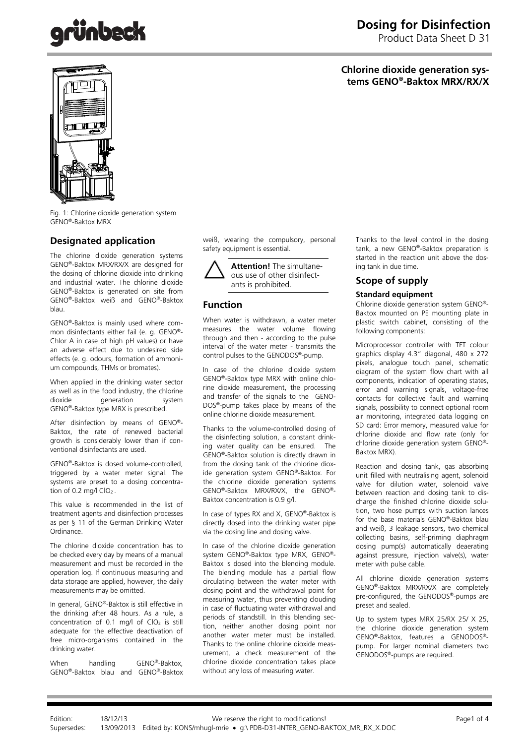# inbec

# **Dosing for Disinfection**

Product Data Sheet D 31

# **Chlorine dioxide generation systems GENO®-Baktox MRX/RX/X**



Fig. 1: Chlorine dioxide generation system GENO®-Baktox MRX

# **Designated application**

The chlorine dioxide generation systems GENO®-Baktox MRX/RX/X are designed for the dosing of chlorine dioxide into drinking and industrial water. The chlorine dioxide GENO®-Baktox is generated on site from GENO®-Baktox weiß and GENO®-Baktox blau.

GENO®-Baktox is mainly used where common disinfectants either fail (e. g. GENO®- Chlor A in case of high pH values) or have an adverse effect due to undesired side effects (e. g. odours, formation of ammonium compounds, THMs or bromates).

When applied in the drinking water sector as well as in the food industry, the chlorine<br>dioxide deneration system deneration GENO®-Baktox type MRX is prescribed.

After disinfection by means of GENO®- Baktox, the rate of renewed bacterial growth is considerably lower than if conventional disinfectants are used.

GENO®-Baktox is dosed volume-controlled, triggered by a water meter signal. The systems are preset to a dosing concentration of 0.2 mg/l  $CIO<sub>2</sub>$ .

This value is recommended in the list of treatment agents and disinfection processes as per § 11 of the German Drinking Water Ordinance.

The chlorine dioxide concentration has to be checked every day by means of a manual measurement and must be recorded in the operation log. If continuous measuring and data storage are applied, however, the daily measurements may be omitted.

In general, GENO®-Baktox is still effective in the drinking after 48 hours. As a rule, a concentration of 0.1 mg/l of  $CIO<sub>2</sub>$  is still adequate for the effective deactivation of free micro-organisms contained in the drinking water.

When handling GENO®-Baktox, GENO®-Baktox blau and GENO®-Baktox weiß, wearing the compulsory, personal safety equipment is essential.

**Attention!** The simultaneous use of other disinfectants is prohibited.

## **Function**

When water is withdrawn, a water meter measures the water volume flowing through and then - according to the pulse interval of the water meter - transmits the control pulses to the GENODOS®-pump.

In case of the chlorine dioxide system GENO®-Baktox type MRX with online chlorine dioxide measurement, the processing and transfer of the signals to the GENO-DOS®-pump takes place by means of the online chlorine dioxide measurement.

Thanks to the volume-controlled dosing of the disinfecting solution, a constant drinking water quality can be ensured. The GENO®-Baktox solution is directly drawn in from the dosing tank of the chlorine dioxide generation system GENO®-Baktox. For the chlorine dioxide generation systems GENO®-Baktox MRX/RX/X, the GENO®- Baktox concentration is 0.9 g/l.

In case of types RX and X, GENO®-Baktox is directly dosed into the drinking water pipe via the dosing line and dosing valve.

In case of the chlorine dioxide generation system GENO®-Baktox type MRX, GENO®- Baktox is dosed into the blending module. The blending module has a partial flow circulating between the water meter with dosing point and the withdrawal point for measuring water, thus preventing clouding in case of fluctuating water withdrawal and periods of standstill. In this blending section, neither another dosing point nor another water meter must be installed. Thanks to the online chlorine dioxide measurement, a check measurement of the chlorine dioxide concentration takes place without any loss of measuring water.

Thanks to the level control in the dosing tank, a new GENO®-Baktox preparation is started in the reaction unit above the dosing tank in due time.

# **Scope of supply**

### **Standard equipment**

Chlorine dioxide generation system GENO®- Baktox mounted on PE mounting plate in plastic switch cabinet, consisting of the following components:

Microprocessor controller with TFT colour graphics display 4.3" diagonal, 480 x 272 pixels, analogue touch panel, schematic diagram of the system flow chart with all components, indication of operating states, error and warning signals, voltage-free contacts for collective fault and warning signals, possibility to connect optional room air monitoring, integrated data logging on SD card: Error memory, measured value for chlorine dioxide and flow rate (only for chlorine dioxide generation system GENO®- Baktox MRX).

Reaction and dosing tank, gas absorbing unit filled with neutralising agent, solenoid valve for dilution water, solenoid valve between reaction and dosing tank to discharge the finished chlorine dioxide solution, two hose pumps with suction lances for the base materials GENO®-Baktox blau and weiß, 3 leakage sensors, two chemical collecting basins, self-priming diaphragm dosing pump(s) automatically deaerating against pressure, injection valve(s), water meter with pulse cable.

All chlorine dioxide generation systems GENO®-Baktox MRX/RX/X are completely pre-configured, the GENODOS®-pumps are preset and sealed.

Up to system types MRX 25/RX 25/ X 25, the chlorine dioxide generation system GENO®-Baktox, features a GENODOS® pump. For larger nominal diameters two GENODOS®-pumps are required.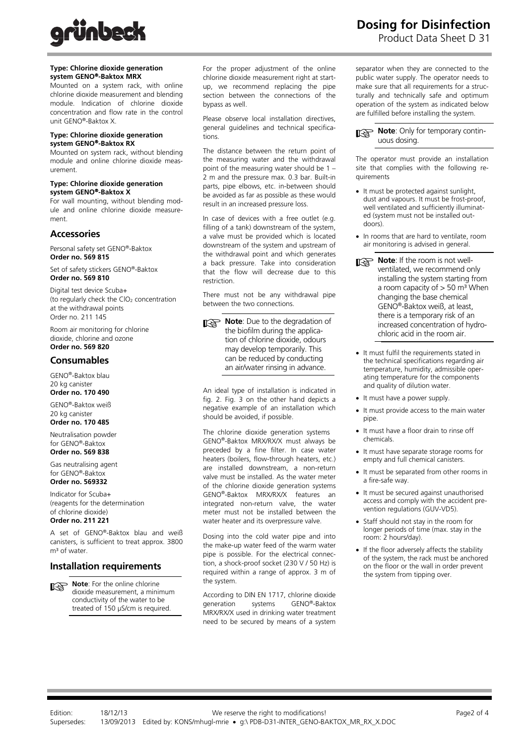

#### **Type: Chlorine dioxide generation system GENO**®**-Baktox MRX**

Mounted on a system rack, with online chlorine dioxide measurement and blending module. Indication of chlorine dioxide concentration and flow rate in the control unit GENO®-Baktox X.

#### **Type: Chlorine dioxide generation system GENO**®**-Baktox RX**

Mounted on system rack, without blending module and online chlorine dioxide measurement.

#### **Type: Chlorine dioxide generation system GENO**®**-Baktox X**

For wall mounting, without blending module and online chlorine dioxide measurement.

### **Accessories**

Personal safety set GENO®-Baktox **Order no. 569 815** 

Set of safety stickers GENO®-Baktox **Order no. 569 810** 

Digital test device Scuba+ (to regularly check the ClO<sub>2</sub> concentration at the withdrawal points Order no. 211 145

Room air monitoring for chlorine dioxide, chlorine and ozone **Order no. 569 820** 

## **Consumables**

GENO®-Baktox blau

20 kg canister **Order no. 170 490** 

GENO®-Baktox weiß 20 kg canister

**Order no. 170 485** 

Neutralisation powder for GENO®-Baktox **Order no. 569 838** 

Gas neutralising agent for GENO®-Baktox **Order no. 569332** 

Indicator for Scuba+ (reagents for the determination of chlorine dioxide) **Order no. 211 221** 

A set of GENO®-Baktox blau and weiß canisters, is sufficient to treat approx. 3800  $m<sup>3</sup>$  of water.

## **Installation requirements**

**Note:** For the online chlorine dioxide measurement, a minimum conductivity of the water to be treated of 150 μS/cm is required.

For the proper adjustment of the online chlorine dioxide measurement right at startup, we recommend replacing the pipe section between the connections of the bypass as well.

Please observe local installation directives, general guidelines and technical specifications.

The distance between the return point of the measuring water and the withdrawal point of the measuring water should be 1 – 2 m and the pressure max. 0.3 bar. Built-in parts, pipe elbows, etc. in-between should be avoided as far as possible as these would result in an increased pressure loss.

In case of devices with a free outlet (e.g. filling of a tank) downstream of the system, a valve must be provided which is located downstream of the system and upstream of the withdrawal point and which generates a back pressure. Take into consideration that the flow will decrease due to this restriction.

There must not be any withdrawal pipe between the two connections.

**Note:** Due to the degradation of the biofilm during the application of chlorine dioxide, odours may develop temporarily. This can be reduced by conducting an air/water rinsing in advance.

An ideal type of installation is indicated in fig. 2. Fig. 3 on the other hand depicts a negative example of an installation which should be avoided, if possible.

The chlorine dioxide generation systems GENO®-Baktox MRX/RX/X must always be preceded by a fine filter. In case water heaters (boilers, flow-through heaters, etc.) are installed downstream, a non-return valve must be installed. As the water meter of the chlorine dioxide generation systems GENO®-Baktox MRX/RX/X features an integrated non-return valve, the water meter must not be installed between the water heater and its overpressure valve.

Dosing into the cold water pipe and into the make-up water feed of the warm water pipe is possible. For the electrical connection, a shock-proof socket (230 V / 50 Hz) is required within a range of approx. 3 m of the system.

According to DIN EN 1717, chlorine dioxide generation systems GENO®-Baktox MRX/RX/X used in drinking water treatment need to be secured by means of a system **Dosing for Disinfection** Product Data Sheet D 31

separator when they are connected to the public water supply. The operator needs to make sure that all requirements for a structurally and technically safe and optimum operation of the system as indicated below are fulfilled before installing the system.

**Note:** Only for temporary continuous dosing.

The operator must provide an installation site that complies with the following requirements

- It must be protected against sunlight, dust and vapours. It must be frost-proof, well ventilated and sufficiently illuminated (system must not be installed outdoors).
- In rooms that are hard to ventilate, room air monitoring is advised in general.
- **Note:** If the room is not wellventilated, we recommend only installing the system starting from a room capacity of  $> 50$  m<sup>3</sup> When changing the base chemical GENO®-Baktox weiß, at least, there is a temporary risk of an increased concentration of hydrochloric acid in the room air.
- It must fulfil the requirements stated in the technical specifications regarding air temperature, humidity, admissible operating temperature for the components and quality of dilution water.
- It must have a power supply.
- It must provide access to the main water pipe.
- It must have a floor drain to rinse off chemicals.
- It must have separate storage rooms for empty and full chemical canisters.
- It must be separated from other rooms in a fire-safe way.
- It must be secured against unauthorised access and comply with the accident prevention regulations (GUV-VD5).
- Staff should not stay in the room for longer periods of time (max. stay in the room: 2 hours/day).
- If the floor adversely affects the stability of the system, the rack must be anchored on the floor or the wall in order prevent the system from tipping over.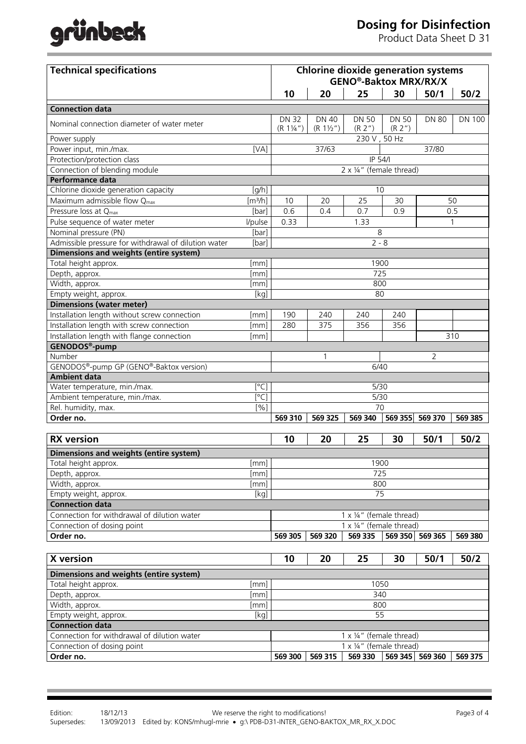# grünbeck

# **Dosing for Disinfection**

Product Data Sheet D 31

| <b>Technical specifications</b>                      |                              | <b>Chlorine dioxide generation systems</b><br><b>GENO®-Baktox MRX/RX/X</b> |                             |                          |                         |                 |               |  |
|------------------------------------------------------|------------------------------|----------------------------------------------------------------------------|-----------------------------|--------------------------|-------------------------|-----------------|---------------|--|
|                                                      |                              | 10                                                                         | 20                          | 25                       | 30                      | 50/1            | 50/2          |  |
| <b>Connection data</b>                               |                              |                                                                            |                             |                          |                         |                 |               |  |
| Nominal connection diameter of water meter           |                              | <b>DN 32</b><br>$(R 1\frac{1}{4})$                                         | DN 40<br>$(R 1\frac{1}{2})$ | <b>DN 50</b><br>(R 2'')  | <b>DN 50</b><br>(R 2'') | <b>DN 80</b>    | <b>DN 100</b> |  |
| Power supply                                         |                              |                                                                            |                             | 230 V, 50 Hz             |                         |                 |               |  |
| Power input, min./max.                               | [VA]                         |                                                                            | 37/63                       |                          |                         | 37/80           |               |  |
| Protection/protection class                          |                              | IP 54/I                                                                    |                             |                          |                         |                 |               |  |
| Connection of blending module                        |                              | 2 x 1/4" (female thread)                                                   |                             |                          |                         |                 |               |  |
| Performance data                                     |                              |                                                                            |                             |                          |                         |                 |               |  |
| Chlorine dioxide generation capacity                 | [g/h]                        |                                                                            |                             | 10                       |                         |                 |               |  |
| Maximum admissible flow Q <sub>max</sub>             | $\left[\frac{m^3}{h}\right]$ | 10                                                                         | 20                          | 25                       | 30                      |                 | 50            |  |
| Pressure loss at Q <sub>max</sub>                    | [bar]                        | 0.6                                                                        | 0.4                         | 0.7                      | 0.9                     |                 | 0.5           |  |
| Pulse sequence of water meter                        | l/pulse                      | 0.33                                                                       |                             | 1.33                     |                         |                 | $\mathbf{1}$  |  |
| Nominal pressure (PN)                                | [bar]                        |                                                                            |                             | 8                        |                         |                 |               |  |
| Admissible pressure for withdrawal of dilution water | [bar]                        | $2 - 8$                                                                    |                             |                          |                         |                 |               |  |
| <b>Dimensions and weights (entire system)</b>        |                              |                                                                            |                             |                          |                         |                 |               |  |
| Total height approx.                                 | [mm]                         | 1900                                                                       |                             |                          |                         |                 |               |  |
| Depth, approx.                                       | [mm]                         | 725                                                                        |                             |                          |                         |                 |               |  |
| Width, approx.                                       | [mm]                         | 800                                                                        |                             |                          |                         |                 |               |  |
| Empty weight, approx.                                | [kg]                         |                                                                            |                             | 80                       |                         |                 |               |  |
| <b>Dimensions (water meter)</b>                      |                              |                                                                            |                             |                          |                         |                 |               |  |
| Installation length without screw connection         | [mm]                         | 190                                                                        | 240                         | 240                      | 240                     |                 |               |  |
| Installation length with screw connection            | [mm]                         | 280                                                                        | 375                         | 356                      | 356                     |                 |               |  |
| Installation length with flange connection           | $\lceil mm \rceil$           |                                                                            |                             |                          |                         |                 | 310           |  |
| GENODOS <sup>®</sup> -pump                           |                              |                                                                            |                             |                          |                         |                 |               |  |
| Number                                               |                              |                                                                            | 1                           |                          |                         | 2               |               |  |
| GENODOS®-pump GP (GENO®-Baktox version)              |                              | 6/40                                                                       |                             |                          |                         |                 |               |  |
| <b>Ambient data</b>                                  |                              |                                                                            |                             |                          |                         |                 |               |  |
| Water temperature, min./max.                         | $\lceil^{\circ}$ C           | 5/30                                                                       |                             |                          |                         |                 |               |  |
| Ambient temperature, min./max.                       | $\lceil^{\circ}$ C           | 5/30                                                                       |                             |                          |                         |                 |               |  |
| Rel. humidity, max.                                  | [%]                          | 70                                                                         |                             |                          |                         |                 |               |  |
| Order no.                                            |                              | 569 310                                                                    | 569 325                     | 569 340                  | 569 355                 | 569 370         | 569 385       |  |
| <b>RX</b> version                                    |                              | 10                                                                         | 20                          | 25                       | 30                      | 50/1            | 50/2          |  |
| Dimensions and weights (entire system)               |                              |                                                                            |                             |                          |                         |                 |               |  |
| Total height approx.<br>[mm]                         |                              |                                                                            | 1900                        |                          |                         |                 |               |  |
| Depth, approx.                                       | [mm]                         | 725                                                                        |                             |                          |                         |                 |               |  |
| Width, approx.                                       | [mm]                         | 800                                                                        |                             |                          |                         |                 |               |  |
| Empty weight, approx.                                | [kg]                         | 75                                                                         |                             |                          |                         |                 |               |  |
| <b>Connection data</b>                               |                              |                                                                            |                             |                          |                         |                 |               |  |
| Connection for withdrawal of dilution water          |                              |                                                                            |                             | 1 x 1/4" (female thread) |                         |                 |               |  |
| Connection of dosing point                           |                              |                                                                            |                             | 1 x 1/4" (female thread) |                         |                 |               |  |
| Order no.                                            |                              | 569 305                                                                    | 569 320                     | 569 335                  |                         | 569 350 569 365 | 569 380       |  |
|                                                      |                              |                                                                            |                             |                          |                         |                 |               |  |
| X version                                            |                              | 10                                                                         | 20                          | 25                       | 30                      | 50/1            | 50/2          |  |
| Dimensions and weights (entire system)               |                              |                                                                            |                             |                          |                         |                 |               |  |
| Total height approx.                                 | $\lceil mm \rceil$           | 1050                                                                       |                             |                          |                         |                 |               |  |
| Depth, approx.                                       | [mm]                         | 340                                                                        |                             |                          |                         |                 |               |  |
| Width, approx.                                       | [mm]                         | 800                                                                        |                             |                          |                         |                 |               |  |
| Empty weight, approx.                                | [kg]                         |                                                                            |                             | 55                       |                         |                 |               |  |
| <b>Connection data</b>                               |                              |                                                                            |                             |                          |                         |                 |               |  |
| Connection for withdrawal of dilution water          |                              | 1 x 1/4" (female thread)                                                   |                             |                          |                         |                 |               |  |
| Connection of dosing point                           |                              |                                                                            |                             | 1 x 1/4" (female thread) |                         |                 |               |  |
| Order no.                                            |                              | 569 300                                                                    | 569 315                     | 569 330                  |                         | 569 345 569 360 | 569 375       |  |